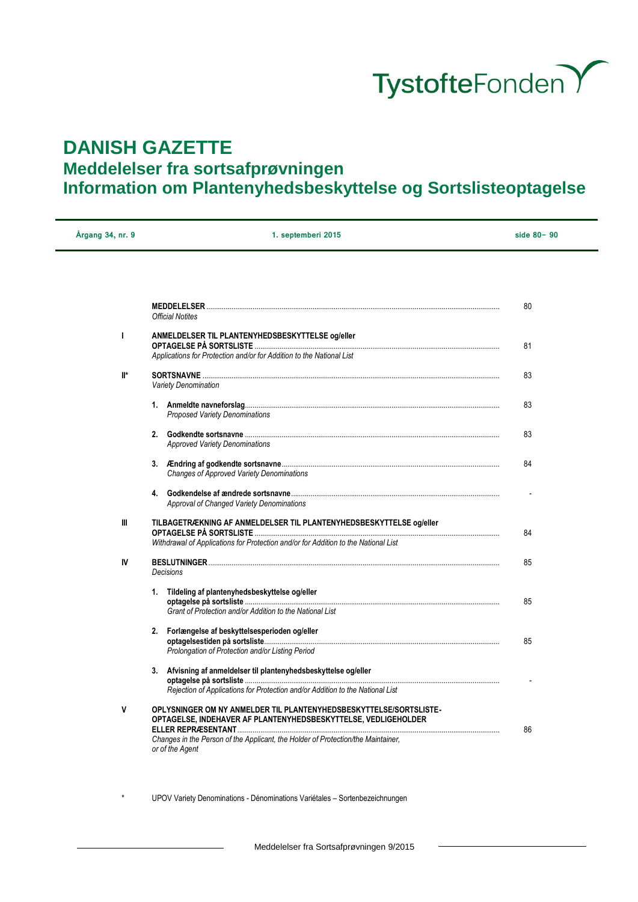

## **DANISH GAZETTE**

## **Meddelelser fra sortsafprøvningen**

# **Information om Plantenyhedsbeskyttelse og Sortslisteoptagelse**

| Årgang 34, nr. 9 | 1. septemberi 2015                                                                                                                                        | side $80 - 90$ |
|------------------|-----------------------------------------------------------------------------------------------------------------------------------------------------------|----------------|
|                  |                                                                                                                                                           |                |
|                  | <b>Official Notites</b>                                                                                                                                   | 80             |
| T                | ANMELDELSER TIL PLANTENYHEDSBESKYTTELSE og/eller<br>Applications for Protection and/or for Addition to the National List                                  | 81             |
| $\mathbb{I}^*$   | <b>Variety Denomination</b>                                                                                                                               | 83             |
|                  | Proposed Variety Denominations                                                                                                                            | 83             |
|                  | <b>Approved Variety Denominations</b>                                                                                                                     | 83             |
|                  | <b>Changes of Approved Variety Denominations</b>                                                                                                          | 84             |
|                  | Approval of Changed Variety Denominations                                                                                                                 |                |
| Ш                | TILBAGETRÆKNING AF ANMELDELSER TIL PLANTENYHEDSBESKYTTELSE og/eller<br>Withdrawal of Applications for Protection and/or for Addition to the National List | 84             |
| IV               | <b>Decisions</b>                                                                                                                                          | 85             |
|                  | 1. Tildeling af plantenyhedsbeskyttelse og/eller<br>Grant of Protection and/or Addition to the National List                                              | 85             |
|                  | 2. Forlængelse af beskyttelsesperioden og/eller<br>Prolongation of Protection and/or Listing Period                                                       | 85             |
|                  | 3. Afvisning af anmeldelser til plantenyhedsbeskyttelse og/eller<br>Rejection of Applications for Protection and/or Addition to the National List         |                |
| V                | OPLYSNINGER OM NY ANMELDER TIL PLANTENYHEDSBESKYTTELSE/SORTSLISTE-<br>OPTAGELSE, INDEHAVER AF PLANTENYHEDSBESKYTTELSE, VEDLIGEHOLDER                      | 86             |
|                  | Changes in the Person of the Applicant, the Holder of Protection/the Maintainer,<br>or of the Agent                                                       |                |

UPOV Variety Denominations - Dénominations Variétales – Sortenbezeichnungen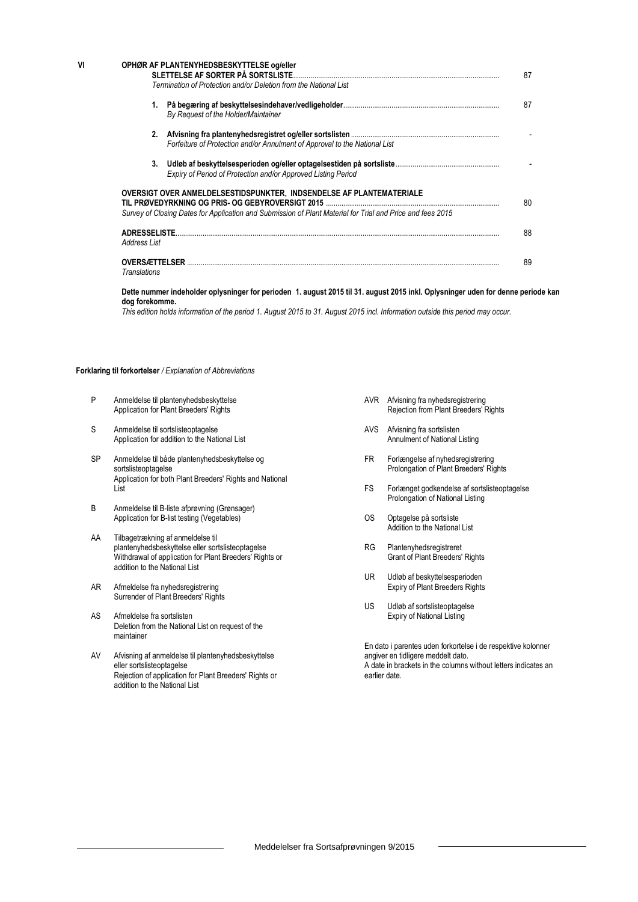| VI | OPHØR AF PLANTENYHEDSBESKYTTELSE og/eller<br>SLETTELSE AF SORTER PÅ SORTSLISTE<br>Termination of Protection and/or Deletion from the National List                                 | 87 |
|----|------------------------------------------------------------------------------------------------------------------------------------------------------------------------------------|----|
|    |                                                                                                                                                                                    |    |
|    | By Request of the Holder/Maintainer                                                                                                                                                | 87 |
|    | Forfeiture of Protection and/or Annulment of Approval to the National List                                                                                                         |    |
|    | Expiry of Period of Protection and/or Approved Listing Period                                                                                                                      |    |
|    | OVERSIGT OVER ANMELDELSESTIDSPUNKTER, INDSENDELSE AF PLANTEMATERIALE<br>Survey of Closing Dates for Application and Submission of Plant Material for Trial and Price and fees 2015 | 80 |
|    | ADRESSELISTE<br>Address List                                                                                                                                                       | 88 |
|    | <b>OVERSÆTTELSER</b><br>Translations                                                                                                                                               | 89 |

**Dette nummer indeholder oplysninger for perioden 1. august 2015 til 31. august 2015 inkl. Oplysninger uden for denne periode kan dog forekomme.**

*This edition holds information of the period 1. August 2015 to 31. August 2015 incl. Information outside this period may occur.*

#### **Forklaring til forkortelser** */ Explanation of Abbreviations*

- P Anmeldelse til plantenyhedsbeskyttelse Application for Plant Breeders' Rights
- S Anmeldelse til sortslisteoptagelse Application for addition to the National List
- SP Anmeldelse til både plantenyhedsbeskyttelse og sortslisteoptagelse Application for both Plant Breeders' Rights and National List
- B Anmeldelse til B-liste afprøvning (Grønsager) Application for B-list testing (Vegetables)
- AA Tilbagetrækning af anmeldelse til plantenyhedsbeskyttelse eller sortslisteoptagelse Withdrawal of application for Plant Breeders' Rights or addition to the National List
- AR Afmeldelse fra nyhedsregistrering Surrender of Plant Breeders' Rights
- AS Afmeldelse fra sortslisten Deletion from the National List on request of the maintainer
- AV Afvisning af anmeldelse til plantenyhedsbeskyttelse eller sortslisteoptagelse Rejection of application for Plant Breeders' Rights or addition to the National List
- AVR Afvisning fra nyhedsregistrering Rejection from Plant Breeders' Rights
- AVS Afvisning fra sortslisten Annulment of National Listing
- FR Forlængelse af nyhedsregistrering Prolongation of Plant Breeders' Rights
- FS Forlænget godkendelse af sortslisteoptagelse Prolongation of National Listing
- OS Optagelse på sortsliste Addition to the National List
- RG Plantenyhedsregistreret Grant of Plant Breeders' Rights
- UR Udløb af beskyttelsesperioden Expiry of Plant Breeders Rights
- US Udløb af sortslisteoptagelse Expiry of National Listing

En dato i parentes uden forkortelse i de respektive kolonner angiver en tidligere meddelt dato. A date in brackets in the columns without letters indicates an earlier date.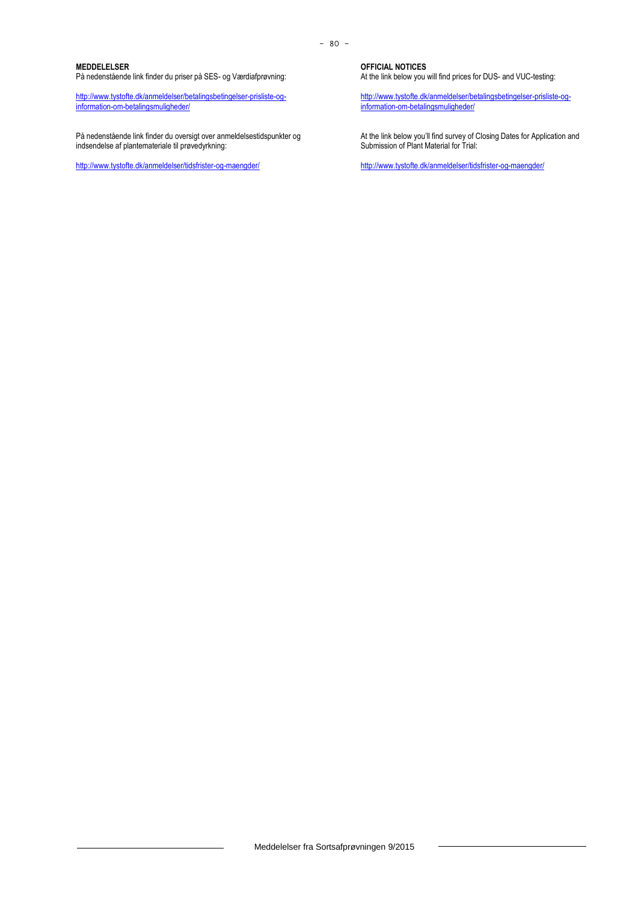#### **MEDDELELSER**

På nedenstående link finder du priser på SES- og Værdiafprøvning:

[http://www.tystofte.dk/anmeldelser/betalingsbetingelser-prisliste-og](http://www.tystofte.dk/anmeldelser/betalingsbetingelser-prisliste-og-information-om-betalingsmuligheder/)[information-om-betalingsmuligheder/](http://www.tystofte.dk/anmeldelser/betalingsbetingelser-prisliste-og-information-om-betalingsmuligheder/)

På nedenstående link finder du oversigt over anmeldelsestidspunkter og indsendelse af plantemateriale til prøvedyrkning:

<http://www.tystofte.dk/anmeldelser/tidsfrister-og-maengder/>

**OFFICIAL NOTICES**

At the link below you will find prices for DUS- and VUC-testing:

[http://www.tystofte.dk/anmeldelser/betalingsbetingelser-prisliste-og](http://www.tystofte.dk/anmeldelser/betalingsbetingelser-prisliste-og-information-om-betalingsmuligheder/)[information-om-betalingsmuligheder/](http://www.tystofte.dk/anmeldelser/betalingsbetingelser-prisliste-og-information-om-betalingsmuligheder/)

At the link below you'll find survey of Closing Dates for Application and Submission of Plant Material for Trial:

<http://www.tystofte.dk/anmeldelser/tidsfrister-og-maengder/>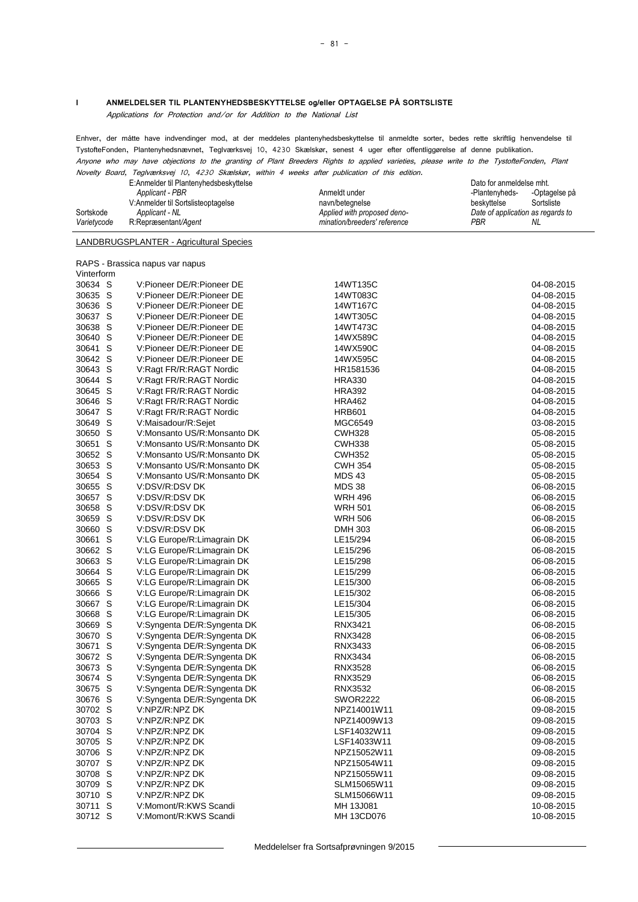#### **I ANMELDELSER TIL PLANTENYHEDSBESKYTTELSE og/eller OPTAGELSE PÅ SORTSLISTE**

Applications for Protection and/or for Addition to the National List

Enhver, der måtte have indvendinger mod, at der meddeles plantenyhedsbeskyttelse til anmeldte sorter, bedes rette skriftlig henvendelse til TystofteFonden, Plantenyhedsnævnet, Teglværksvej 10, 4230 Skælskør, senest 4 uger efter offentliggørelse af denne publikation. Anyone who may have objections to the granting of Plant Breeders Rights to applied varieties, please write to the TystofteFonden, Plant

Novelty Board, Teglværksvej 10, 4230 Skælskør, within 4 weeks after publication of this edition.

|                             | E:Anmelder til Plantenyhedsbeskyttelse |                              | Dato for anmeldelse mht.          |               |
|-----------------------------|----------------------------------------|------------------------------|-----------------------------------|---------------|
|                             | Applicant - PBR                        | Anmeldt under                | -Plantenyheds-                    | -Optagelse på |
|                             | V:Anmelder til Sortslisteoptagelse     | navn/betegnelse              | beskyttelse                       | Sortsliste    |
| Sortskode<br>Applicant - NL |                                        | Applied with proposed deno-  | Date of application as regards to |               |
| Varietycode                 | R:Repræsentant/Agent                   | mination/breeders' reference | PBR                               | NL            |

## LANDBRUGSPLANTER - Agricultural Species

RAPS - Brassica napus var napus Vinterform

| VIIIUUIIIU |     |                             |                 |            |
|------------|-----|-----------------------------|-----------------|------------|
| 30634 S    |     | V:Pioneer DE/R:Pioneer DE   | 14WT135C        | 04-08-2015 |
| 30635 S    |     | V:Pioneer DE/R:Pioneer DE   | 14WT083C        | 04-08-2015 |
| 30636 S    |     | V:Pioneer DE/R:Pioneer DE   | 14WT167C        | 04-08-2015 |
| 30637 S    |     | V:Pioneer DE/R:Pioneer DE   | 14WT305C        | 04-08-2015 |
| 30638 S    |     | V:Pioneer DE/R:Pioneer DE   | 14WT473C        | 04-08-2015 |
| 30640 S    |     | V:Pioneer DE/R:Pioneer DE   | 14WX589C        | 04-08-2015 |
| 30641 S    |     | V:Pioneer DE/R:Pioneer DE   | 14WX590C        | 04-08-2015 |
| 30642 S    |     | V:Pioneer DE/R:Pioneer DE   | 14WX595C        | 04-08-2015 |
| 30643 S    |     | V:Ragt FR/R:RAGT Nordic     | HR1581536       | 04-08-2015 |
| 30644 S    |     | V:Ragt FR/R:RAGT Nordic     | <b>HRA330</b>   | 04-08-2015 |
| 30645 S    |     | V:Ragt FR/R:RAGT Nordic     | <b>HRA392</b>   | 04-08-2015 |
| 30646 S    |     | V:Ragt FR/R:RAGT Nordic     | <b>HRA462</b>   | 04-08-2015 |
| 30647 S    |     | V:Ragt FR/R:RAGT Nordic     | <b>HRB601</b>   | 04-08-2015 |
| 30649 S    |     | V:Maisadour/R:Sejet         | MGC6549         | 03-08-2015 |
| 30650 S    |     | V:Monsanto US/R:Monsanto DK | <b>CWH328</b>   | 05-08-2015 |
| 30651 S    |     | V:Monsanto US/R:Monsanto DK | <b>CWH338</b>   | 05-08-2015 |
| 30652 S    |     | V:Monsanto US/R:Monsanto DK | <b>CWH352</b>   | 05-08-2015 |
| 30653 S    |     | V:Monsanto US/R:Monsanto DK | <b>CWH 354</b>  | 05-08-2015 |
| 30654 S    |     | V:Monsanto US/R:Monsanto DK | <b>MDS43</b>    | 05-08-2015 |
| 30655 S    |     | V:DSV/R:DSV DK              | <b>MDS 38</b>   | 06-08-2015 |
| 30657 S    |     | V:DSV/R:DSV DK              | <b>WRH 496</b>  | 06-08-2015 |
| 30658 S    |     | V:DSV/R:DSV DK              | <b>WRH 501</b>  | 06-08-2015 |
| 30659 S    |     | V:DSV/R:DSV DK              | <b>WRH 506</b>  | 06-08-2015 |
| 30660 S    |     |                             |                 |            |
|            |     | V:DSV/R:DSV DK              | <b>DMH 303</b>  | 06-08-2015 |
| 30661      | -S  | V:LG Europe/R:Limagrain DK  | LE15/294        | 06-08-2015 |
| 30662 S    |     | V:LG Europe/R:Limagrain DK  | LE15/296        | 06-08-2015 |
| 30663 S    |     | V:LG Europe/R:Limagrain DK  | LE15/298        | 06-08-2015 |
| 30664 S    |     | V:LG Europe/R:Limagrain DK  | LE15/299        | 06-08-2015 |
| 30665 S    |     | V:LG Europe/R:Limagrain DK  | LE15/300        | 06-08-2015 |
| 30666 S    |     | V:LG Europe/R:Limagrain DK  | LE15/302        | 06-08-2015 |
| 30667 S    |     | V:LG Europe/R:Limagrain DK  | LE15/304        | 06-08-2015 |
| 30668 S    |     | V:LG Europe/R:Limagrain DK  | LE15/305        | 06-08-2015 |
| 30669      | - S | V:Syngenta DE/R:Syngenta DK | RNX3421         | 06-08-2015 |
| 30670      | S   | V:Syngenta DE/R:Syngenta DK | RNX3428         | 06-08-2015 |
| 30671 S    |     | V:Syngenta DE/R:Syngenta DK | RNX3433         | 06-08-2015 |
| 30672 S    |     | V:Syngenta DE/R:Syngenta DK | RNX3434         | 06-08-2015 |
| 30673 S    |     | V:Syngenta DE/R:Syngenta DK | RNX3528         | 06-08-2015 |
| 30674 S    |     | V:Syngenta DE/R:Syngenta DK | <b>RNX3529</b>  | 06-08-2015 |
| 30675 S    |     | V:Syngenta DE/R:Syngenta DK | <b>RNX3532</b>  | 06-08-2015 |
| 30676 S    |     | V:Syngenta DE/R:Syngenta DK | <b>SWOR2222</b> | 06-08-2015 |
| 30702 S    |     | V:NPZ/R:NPZ DK              | NPZ14001W11     | 09-08-2015 |
| 30703 S    |     | V:NPZ/R:NPZ DK              | NPZ14009W13     | 09-08-2015 |
| 30704 S    |     | V:NPZ/R:NPZ DK              | LSF14032W11     | 09-08-2015 |
| 30705 S    |     | V:NPZ/R:NPZ DK              | LSF14033W11     | 09-08-2015 |
| 30706 S    |     | V:NPZ/R:NPZ DK              | NPZ15052W11     | 09-08-2015 |
| 30707 S    |     | V:NPZ/R:NPZ DK              | NPZ15054W11     | 09-08-2015 |
| 30708 S    |     | V:NPZ/R:NPZ DK              | NPZ15055W11     | 09-08-2015 |
| 30709 S    |     | V:NPZ/R:NPZ DK              | SLM15065W11     | 09-08-2015 |
| 30710 S    |     | V:NPZ/R:NPZ DK              | SLM15066W11     | 09-08-2015 |
| 30711 S    |     | V:Momont/R:KWS Scandi       | MH 13J081       | 10-08-2015 |
| 30712 S    |     | V:Momont/R:KWS Scandi       | MH 13CD076      | 10-08-2015 |
|            |     |                             |                 |            |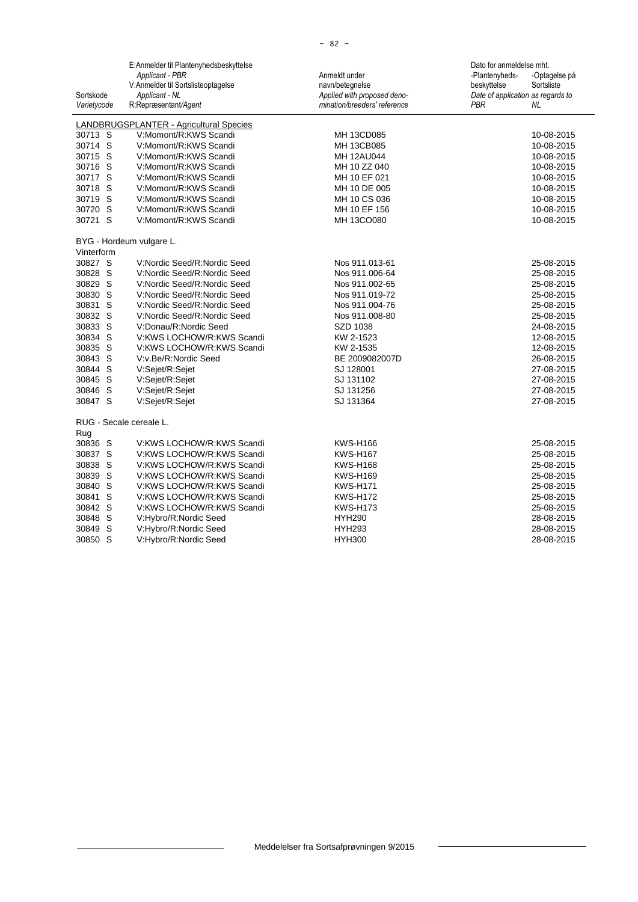|             | E:Anmelder til Plantenyhedsbeskyttelse  |                              | Dato for anmeldelse mht.          |
|-------------|-----------------------------------------|------------------------------|-----------------------------------|
|             | Applicant - PBR                         | Anmeldt under                | -Plantenyheds-<br>-Optagelse på   |
|             | V:Anmelder til Sortslisteoptagelse      | navn/betegnelse              | beskyttelse<br>Sortsliste         |
| Sortskode   | Applicant - NL                          | Applied with proposed deno-  | Date of application as regards to |
| Varietycode | R:Repræsentant/Agent                    | mination/breeders' reference | <b>PBR</b><br>NL.                 |
|             | LANDBRUGSPLANTER - Agricultural Species |                              |                                   |
| 30713 S     | V:Momont/R:KWS Scandi                   | MH 13CD085                   | 10-08-2015                        |
| 30714 S     | V:Momont/R:KWS Scandi                   | MH 13CB085                   | 10-08-2015                        |
| 30715 S     | V:Momont/R:KWS Scandi                   | MH 12AU044                   | 10-08-2015                        |
| 30716 S     | V:Momont/R:KWS Scandi                   | MH 10 ZZ 040                 | 10-08-2015                        |
| 30717 S     | V:Momont/R:KWS Scandi                   | MH 10 EF 021                 | 10-08-2015                        |
| 30718 S     | V:Momont/R:KWS Scandi                   | MH 10 DE 005                 | 10-08-2015                        |
| 30719 S     | V:Momont/R:KWS Scandi                   | MH 10 CS 036                 | 10-08-2015                        |
| 30720 S     | V:Momont/R:KWS Scandi                   | MH 10 EF 156                 | 10-08-2015                        |
| 30721 S     | V:Momont/R:KWS Scandi                   | MH 13CO080                   | 10-08-2015                        |
|             |                                         |                              |                                   |
|             | BYG - Hordeum vulgare L.                |                              |                                   |
| Vinterform  |                                         |                              |                                   |
| 30827 S     | V:Nordic Seed/R:Nordic Seed             | Nos 911.013-61               | 25-08-2015                        |
| 30828 S     | V:Nordic Seed/R:Nordic Seed             | Nos 911.006-64               | 25-08-2015                        |
| 30829 S     | V:Nordic Seed/R:Nordic Seed             | Nos 911.002-65               | 25-08-2015                        |
| 30830 S     | V:Nordic Seed/R:Nordic Seed             | Nos 911.019-72               | 25-08-2015                        |
| 30831 S     | V:Nordic Seed/R:Nordic Seed             | Nos 911.004-76               | 25-08-2015                        |
| 30832 S     | V:Nordic Seed/R:Nordic Seed             | Nos 911.008-80               | 25-08-2015                        |
| 30833 S     | V:Donau/R:Nordic Seed                   | SZD 1038                     | 24-08-2015                        |
| 30834 S     | V:KWS LOCHOW/R:KWS Scandi               | KW 2-1523                    | 12-08-2015                        |
| 30835 S     | V:KWS LOCHOW/R:KWS Scandi               | KW 2-1535                    | 12-08-2015                        |
| 30843 S     | V:v.Be/R:Nordic Seed                    | BE 2009082007D               | 26-08-2015                        |
| 30844 S     | V:Sejet/R:Sejet                         | SJ 128001                    | 27-08-2015                        |
| 30845 S     | V:Sejet/R:Sejet                         | SJ 131102                    | 27-08-2015                        |
| 30846 S     | V:Sejet/R:Sejet                         | SJ 131256                    | 27-08-2015                        |
| 30847 S     | V:Sejet/R:Sejet                         | SJ 131364                    | 27-08-2015                        |
|             | RUG - Secale cereale L.                 |                              |                                   |
| Rug         |                                         |                              |                                   |
| 30836 S     | V:KWS LOCHOW/R:KWS Scandi               | <b>KWS-H166</b>              | 25-08-2015                        |
| 30837 S     | V:KWS LOCHOW/R:KWS Scandi               | <b>KWS-H167</b>              | 25-08-2015                        |
| 30838 S     | V:KWS LOCHOW/R:KWS Scandi               | <b>KWS-H168</b>              | 25-08-2015                        |
| 30839 S     | V:KWS LOCHOW/R:KWS Scandi               | <b>KWS-H169</b>              | 25-08-2015                        |
| 30840 S     | V:KWS LOCHOW/R:KWS Scandi               | <b>KWS-H171</b>              | 25-08-2015                        |
| 30841 S     | V:KWS LOCHOW/R:KWS Scandi               | <b>KWS-H172</b>              | 25-08-2015                        |
| 30842 S     | V:KWS LOCHOW/R:KWS Scandi               | <b>KWS-H173</b>              | 25-08-2015                        |
| 30848 S     | V:Hybro/R:Nordic Seed                   | <b>HYH290</b>                | 28-08-2015                        |
| 30849 S     | V:Hybro/R:Nordic Seed                   | <b>HYH293</b>                | 28-08-2015                        |
| 30850 S     | V:Hybro/R:Nordic Seed                   | <b>HYH300</b>                | 28-08-2015                        |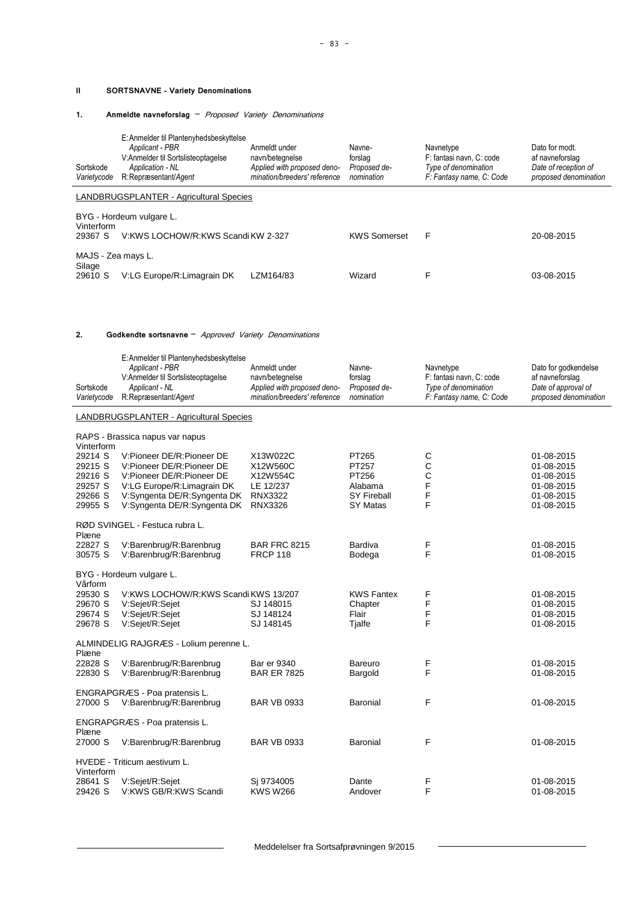#### **II SORTSNAVNE – Variety Denominations**

#### **1. Anmeldte navneforslag** – Proposed Variety Denominations

| Sortskode<br>Varietycode | E: Anmelder til Plantenyhedsbeskyttelse<br>Applicant - PBR<br>V:Anmelder til Sortslisteoptagelse<br>Application - NL<br>R:Repræsentant/Agent | Anmeldt under<br>navn/betegnelse<br>Applied with proposed deno-<br>mination/breeders' reference | Navne-<br>forslag<br>Proposed de-<br>nomination | Navnetype<br>F: fantasi navn. C: code<br>Type of denomination<br>F: Fantasy name, C: Code | Dato for modt.<br>af navneforslag<br>Date of reception of<br>proposed denomination |  |  |
|--------------------------|----------------------------------------------------------------------------------------------------------------------------------------------|-------------------------------------------------------------------------------------------------|-------------------------------------------------|-------------------------------------------------------------------------------------------|------------------------------------------------------------------------------------|--|--|
|                          | LANDBRUGSPLANTER - Agricultural Species                                                                                                      |                                                                                                 |                                                 |                                                                                           |                                                                                    |  |  |
| Vinterform               | BYG - Hordeum vulgare L.                                                                                                                     |                                                                                                 |                                                 |                                                                                           |                                                                                    |  |  |
| 29367 S                  | V:KWS LOCHOW/R:KWS Scandi KW 2-327                                                                                                           |                                                                                                 | <b>KWS Somerset</b>                             | F                                                                                         | 20-08-2015                                                                         |  |  |
|                          | MAJS - Zea mays L.                                                                                                                           |                                                                                                 |                                                 |                                                                                           |                                                                                    |  |  |
| Silage<br>29610 S        | V:LG Europe/R:Limagrain DK                                                                                                                   | LZM164/83                                                                                       | Wizard                                          |                                                                                           | 03-08-2015                                                                         |  |  |

#### **2. Godkendte sortsnavne** – Approved Variety Denominations

| Sortskode<br>Varietycode                                       | E: Anmelder til Plantenyhedsbeskyttelse<br>Applicant - PBR<br>V:Anmelder til Sortslisteoptagelse<br>Applicant - NL<br>R:Repræsentant/Agent                                      | Anmeldt under<br>navn/betegnelse<br>Applied with proposed deno-<br>mination/breeders' reference | Navne-<br>forslag<br>Proposed de-<br>nomination                      | Navnetype<br>F: fantasi navn, C: code<br>Type of denomination<br>F: Fantasy name, C: Code | Dato for godkendelse<br>af navneforslag<br>Date of approval of<br>proposed denomination |
|----------------------------------------------------------------|---------------------------------------------------------------------------------------------------------------------------------------------------------------------------------|-------------------------------------------------------------------------------------------------|----------------------------------------------------------------------|-------------------------------------------------------------------------------------------|-----------------------------------------------------------------------------------------|
|                                                                | LANDBRUGSPLANTER - Agricultural Species                                                                                                                                         |                                                                                                 |                                                                      |                                                                                           |                                                                                         |
| Vinterform                                                     | RAPS - Brassica napus var napus                                                                                                                                                 |                                                                                                 |                                                                      |                                                                                           |                                                                                         |
| 29214 S<br>29215 S<br>29216 S<br>29257 S<br>29266 S<br>29955 S | V:Pioneer DE/R:Pioneer DE<br>V:Pioneer DE/R:Pioneer DE<br>V:Pioneer DE/R:Pioneer DE<br>V:LG Europe/R:Limagrain DK<br>V:Syngenta DE/R:Syngenta DK<br>V:Syngenta DE/R:Syngenta DK | X13W022C<br>X12W560C<br>X12W554C<br>LE 12/237<br><b>RNX3322</b><br><b>RNX3326</b>               | PT265<br>PT257<br>PT256<br>Alabama<br><b>SY Fireball</b><br>SY Matas | С<br>C<br>C<br>F<br>F<br>F                                                                | 01-08-2015<br>01-08-2015<br>01-08-2015<br>01-08-2015<br>01-08-2015<br>01-08-2015        |
| Plæne                                                          | RØD SVINGEL - Festuca rubra L.                                                                                                                                                  |                                                                                                 |                                                                      |                                                                                           |                                                                                         |
| 22827 S<br>30575 S                                             | V:Barenbrug/R:Barenbrug<br>V:Barenbrug/R:Barenbrug                                                                                                                              | <b>BAR FRC 8215</b><br><b>FRCP 118</b>                                                          | Bardiva<br>Bodega                                                    | F<br>F                                                                                    | 01-08-2015<br>01-08-2015                                                                |
| Vårform                                                        | BYG - Hordeum vulgare L.                                                                                                                                                        |                                                                                                 |                                                                      |                                                                                           |                                                                                         |
| 29530 S<br>29670 S<br>29674 S<br>29678 S                       | V:KWS LOCHOW/R:KWS Scandi KWS 13/207<br>V:Sejet/R:Sejet<br>V:Sejet/R:Sejet<br>V:Sejet/R:Sejet                                                                                   | SJ 148015<br>SJ 148124<br>SJ 148145                                                             | <b>KWS Fantex</b><br>Chapter<br>Flair<br>Tjalfe                      | F<br>F<br>F<br>F                                                                          | 01-08-2015<br>01-08-2015<br>01-08-2015<br>01-08-2015                                    |
| Plæne                                                          | ALMINDELIG RAJGRÆS - Lolium perenne L.                                                                                                                                          |                                                                                                 |                                                                      |                                                                                           |                                                                                         |
| 22828 S<br>22830 S                                             | V:Barenbrug/R:Barenbrug<br>V:Barenbrug/R:Barenbrug                                                                                                                              | <b>Bar er 9340</b><br><b>BAR ER 7825</b>                                                        | Bareuro<br>Bargold                                                   | F<br>F                                                                                    | 01-08-2015<br>01-08-2015                                                                |
| 27000 S                                                        | ENGRAPGRÆS - Poa pratensis L.<br>V:Barenbrug/R:Barenbrug                                                                                                                        | <b>BAR VB 0933</b>                                                                              | <b>Baronial</b>                                                      | F                                                                                         | 01-08-2015                                                                              |
| Plæne                                                          | ENGRAPGRÆS - Poa pratensis L.                                                                                                                                                   |                                                                                                 |                                                                      |                                                                                           |                                                                                         |
| 27000 S                                                        | V:Barenbrug/R:Barenbrug                                                                                                                                                         | <b>BAR VB 0933</b>                                                                              | Baronial                                                             | F                                                                                         | 01-08-2015                                                                              |
| Vinterform                                                     | HVEDE - Triticum aestivum L.                                                                                                                                                    |                                                                                                 |                                                                      |                                                                                           |                                                                                         |
| 28641 S<br>29426 S                                             | V:Sejet/R:Sejet<br>V:KWS GB/R:KWS Scandi                                                                                                                                        | Sj 9734005<br><b>KWS W266</b>                                                                   | Dante<br>Andover                                                     | F<br>F                                                                                    | 01-08-2015<br>01-08-2015                                                                |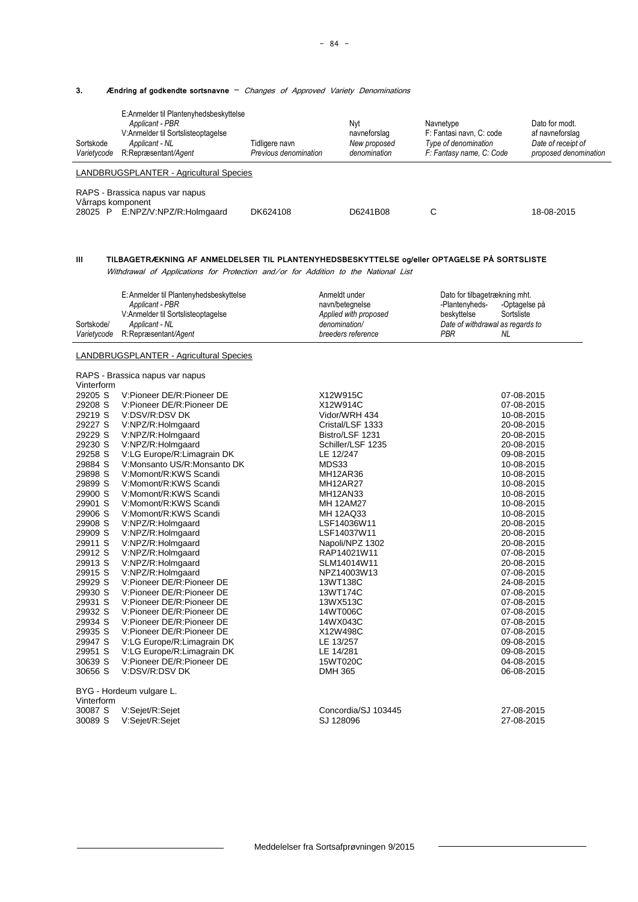#### **3. Ændring af godkendte sortsnavne** – Changes of Approved Variety Denominations

| Sortskode<br>Varietycode                                                                                                              | E:Anmelder til Plantenyhedsbeskyttelse<br>Applicant - PBR<br>V:Anmelder til Sortslisteoptagelse<br>Applicant - NL<br>R:Repræsentant/Agent | Tidligere navn<br>Previous denomination | Nyt<br>navneforslag<br>New proposed<br>denomination | Navnetype<br>F: Fantasi navn, C: code<br>Type of denomination<br>F: Fantasy name, C: Code | Dato for modt.<br>af navneforslag<br>Date of receipt of<br>proposed denomination |  |
|---------------------------------------------------------------------------------------------------------------------------------------|-------------------------------------------------------------------------------------------------------------------------------------------|-----------------------------------------|-----------------------------------------------------|-------------------------------------------------------------------------------------------|----------------------------------------------------------------------------------|--|
|                                                                                                                                       | LANDBRUGSPLANTER - Agricultural Species                                                                                                   |                                         |                                                     |                                                                                           |                                                                                  |  |
| RAPS - Brassica napus var napus<br>Vårraps komponent<br>E:NPZ/V:NPZ/R:Holmgaard<br>С<br>DK624108<br>D6241B08<br>18-08-2015<br>28025 P |                                                                                                                                           |                                         |                                                     |                                                                                           |                                                                                  |  |

## **III TILBAGETRÆKNING AF ANMELDELSER TIL PLANTENYHEDSBESKYTTELSE og/eller OPTAGELSE PÅ SORTSLISTE**

Withdrawal of Applications for Protection and/or for Addition to the National List

|             | E: Anmelder til Plantenyhedsbeskyttelse | Anmeldt under         | Dato for tilbagetrækning mht.    |               |
|-------------|-----------------------------------------|-----------------------|----------------------------------|---------------|
|             | Applicant - PBR                         | navn/betegnelse       | -Plantenyheds-                   | -Optagelse på |
|             | V:Anmelder til Sortslisteoptagelse      | Applied with proposed | beskyttelse                      | Sortsliste    |
| Sortskode/  | Applicant - NL                          | denomination/         | Date of withdrawal as regards to |               |
| Varietvcode | R:Repræsentant/Agent                    | breeders reference    | PBR                              | NL            |

### LANDBRUGSPLANTER - Agricultural Species

|            | RAPS - Brassica napus var napus |                     |            |
|------------|---------------------------------|---------------------|------------|
| Vinterform |                                 |                     |            |
| 29205 S    | V:Pioneer DE/R:Pioneer DE       | X12W915C            | 07-08-2015 |
| 29208 S    | V:Pioneer DE/R:Pioneer DE       | X12W914C            | 07-08-2015 |
| 29219 S    | V:DSV/R:DSV DK                  | Vidor/WRH 434       | 10-08-2015 |
| 29227 S    | V:NPZ/R:Holmgaard               | Cristal/LSF 1333    | 20-08-2015 |
| 29229 S    | V:NPZ/R:Holmgaard               | Bistro/LSF 1231     | 20-08-2015 |
| 29230 S    | V:NPZ/R:Holmgaard               | Schiller/LSF 1235   | 20-08-2015 |
| 29258 S    | V:LG Europe/R:Limagrain DK      | LE 12/247           | 09-08-2015 |
| 29884 S    | V:Monsanto US/R:Monsanto DK     | MDS33               | 10-08-2015 |
| 29898 S    | V:Momont/R:KWS Scandi           | <b>MH12AR36</b>     | 10-08-2015 |
| 29899 S    | V:Momont/R:KWS Scandi           | <b>MH12AR27</b>     | 10-08-2015 |
| 29900 S    | V:Momont/R:KWS Scandi           | <b>MH12AN33</b>     | 10-08-2015 |
| 29901 S    | V:Momont/R:KWS Scandi           | <b>MH 12AM27</b>    | 10-08-2015 |
| 29906 S    | V:Momont/R:KWS Scandi           | <b>MH 12AQ33</b>    | 10-08-2015 |
| 29908 S    | V:NPZ/R:Holmgaard               | LSF14036W11         | 20-08-2015 |
| 29909 S    | V:NPZ/R:Holmgaard               | LSF14037W11         | 20-08-2015 |
| 29911 S    | V:NPZ/R:Holmgaard               | Napoli/NPZ 1302     | 20-08-2015 |
| 29912 S    | V:NPZ/R:Holmgaard               | RAP14021W11         | 07-08-2015 |
| 29913 S    | V:NPZ/R:Holmgaard               | SLM14014W11         | 20-08-2015 |
| 29915 S    | V:NPZ/R:Holmgaard               | NPZ14003W13         | 07-08-2015 |
| 29929 S    | V:Pioneer DE/R:Pioneer DE       | 13WT138C            | 24-08-2015 |
| 29930 S    | V:Pioneer DE/R:Pioneer DE       | 13WT174C            | 07-08-2015 |
| 29931 S    | V:Pioneer DE/R:Pioneer DE       | 13WX513C            | 07-08-2015 |
| 29932 S    | V:Pioneer DE/R:Pioneer DE       | 14WT006C            | 07-08-2015 |
| 29934 S    | V:Pioneer DE/R:Pioneer DE       | 14WX043C            | 07-08-2015 |
| 29935 S    | V:Pioneer DE/R:Pioneer DE       | X12W498C            | 07-08-2015 |
| 29947 S    | V:LG Europe/R:Limagrain DK      | LE 13/257           | 09-08-2015 |
| 29951 S    | V:LG Europe/R:Limagrain DK      | LE 14/281           | 09-08-2015 |
| 30639 S    | V:Pioneer DE/R:Pioneer DE       | 15WT020C            | 04-08-2015 |
| 30656 S    | V:DSV/R:DSV DK                  | <b>DMH 365</b>      | 06-08-2015 |
|            | BYG - Hordeum vulgare L.        |                     |            |
| Vinterform |                                 |                     |            |
| 30087 S    | V:Sejet/R:Sejet                 | Concordia/SJ 103445 | 27-08-2015 |

30089 S V:Sejet/R:Sejet SJ 128096 27-08-2015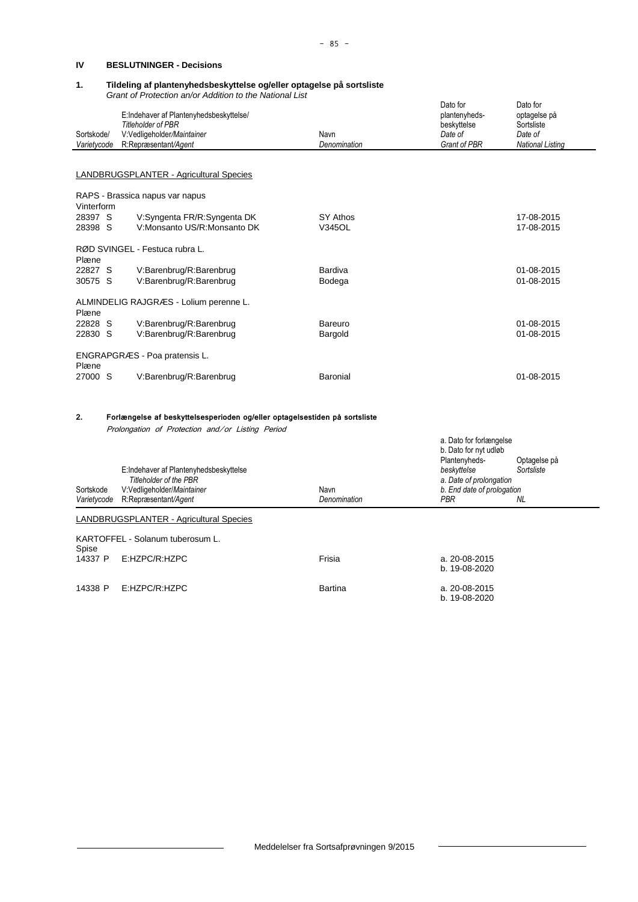#### **IV BESLUTNINGER - Decisions**

## **1. Tildeling af plantenyhedsbeskyttelse og/eller optagelse på sortsliste**

*Grant of Protection an/or Addition to the National List*

14338 P E:HZPC/R:HZPC Bartina

| Sortskode/       | E:Indehaver af Plantenyhedsbeskyttelse/<br><b>Titleholder of PBR</b><br>V:Vedligeholder/Maintainer                             | Navn           | Dato for<br>plantenyheds-<br>beskyttelse<br>Date of   | Dato for<br>optagelse på<br>Sortsliste<br>Date of |
|------------------|--------------------------------------------------------------------------------------------------------------------------------|----------------|-------------------------------------------------------|---------------------------------------------------|
| Varietycode      | R:Repræsentant/Agent                                                                                                           | Denomination   | <b>Grant of PBR</b>                                   | <b>National Listing</b>                           |
|                  |                                                                                                                                |                |                                                       |                                                   |
|                  | <b>LANDBRUGSPLANTER - Agricultural Species</b>                                                                                 |                |                                                       |                                                   |
| Vinterform       | RAPS - Brassica napus var napus                                                                                                |                |                                                       |                                                   |
| 28397 S          | V:Syngenta FR/R:Syngenta DK                                                                                                    | SY Athos       |                                                       | 17-08-2015                                        |
| 28398 S          | V:Monsanto US/R:Monsanto DK                                                                                                    | V345OL         |                                                       | 17-08-2015                                        |
| Plæne            | RØD SVINGEL - Festuca rubra L.                                                                                                 |                |                                                       |                                                   |
| 22827 S          | V:Barenbrug/R:Barenbrug                                                                                                        | <b>Bardiva</b> |                                                       | 01-08-2015                                        |
| 30575 S          | V:Barenbrug/R:Barenbrug                                                                                                        | Bodega         |                                                       | 01-08-2015                                        |
| Plæne            | ALMINDELIG RAJGRÆS - Lolium perenne L.                                                                                         |                |                                                       |                                                   |
| 22828 S          | V:Barenbrug/R:Barenbrug                                                                                                        | Bareuro        |                                                       | 01-08-2015                                        |
| 22830 S          | V:Barenbrug/R:Barenbrug                                                                                                        | Bargold        |                                                       | 01-08-2015                                        |
| Plæne            | ENGRAPGRÆS - Poa pratensis L.                                                                                                  |                |                                                       |                                                   |
| 27000 S          | V:Barenbrug/R:Barenbrug                                                                                                        | Baronial       |                                                       | 01-08-2015                                        |
| 2.               | Forlængelse af beskyttelsesperioden og/eller optagelsestiden på sortsliste<br>Prolongation of Protection and/or Listing Period |                |                                                       |                                                   |
|                  |                                                                                                                                |                | a. Dato for forlængelse                               |                                                   |
|                  | E:Indehaver af Plantenyhedsbeskyttelse                                                                                         |                | b. Dato for nyt udløb<br>Plantenyheds-<br>beskyttelse | Optagelse på<br>Sortsliste                        |
| Sortskode        | Titleholder of the PBR<br>V:Vedligeholder/Maintainer                                                                           | Navn           | a. Date of prolongation<br>b. End date of prologation |                                                   |
| Varietycode      | R:Repræsentant/Agent                                                                                                           | Denomination   | PBR                                                   | NL.                                               |
|                  | <b>LANDBRUGSPLANTER - Agricultural Species</b>                                                                                 |                |                                                       |                                                   |
|                  | KARTOFFEL - Solanum tuberosum L.                                                                                               |                |                                                       |                                                   |
| Spise<br>14337 P | E:HZPC/R:HZPC                                                                                                                  | Frisia         | a. 20-08-2015                                         |                                                   |

 $b. 19-08-2020$ 

b. 19-08-2020

Meddelelser fra Sortsafprøvningen 9/2015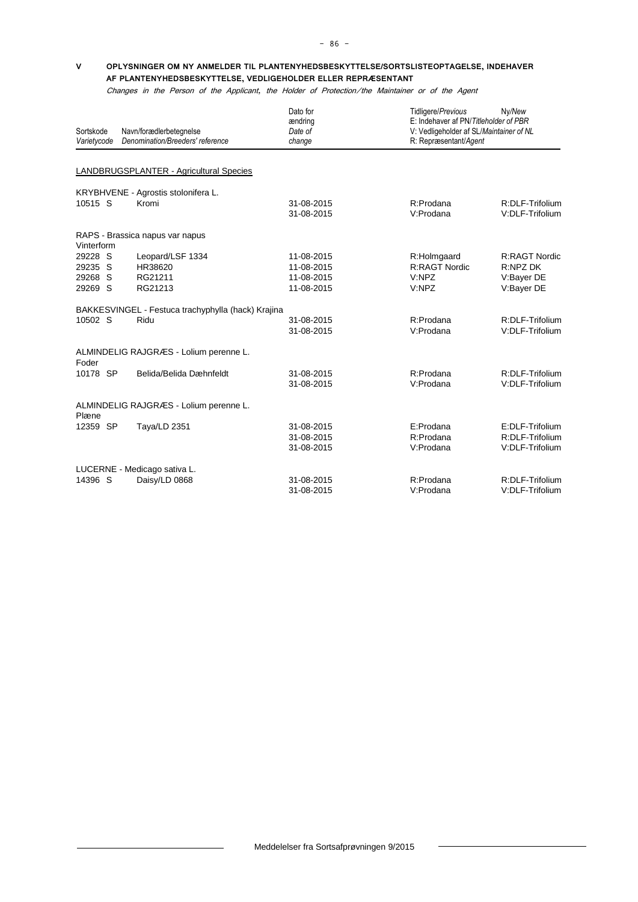#### **V OPLYSNINGER OM NY ANMELDER TIL PLANTENYHEDSBESKYTTELSE/SORTSLISTEOPTAGELSE, INDEHAVER AF PLANTENYHEDSBESKYTTELSE, VEDLIGEHOLDER ELLER REPRÆSENTANT**

Changes in the Person of the Applicant, the Holder of Protection/the Maintainer or of the Agent

| Sortskode<br>Varietycode | Navn/forædlerbetegnelse<br>Denomination/Breeders' reference | Dato for<br>ændring<br>Date of<br>change | Tidligere/Previous                  | Ny/New<br>E: Indehaver af PN/Titleholder of PBR<br>V: Vedligeholder af SL/Maintainer of NL<br>R: Repræsentant/Agent |
|--------------------------|-------------------------------------------------------------|------------------------------------------|-------------------------------------|---------------------------------------------------------------------------------------------------------------------|
|                          |                                                             |                                          |                                     |                                                                                                                     |
|                          | LANDBRUGSPLANTER - Agricultural Species                     |                                          |                                     |                                                                                                                     |
|                          | KRYBHVENE - Agrostis stolonifera L.                         |                                          |                                     |                                                                                                                     |
| 10515 S                  | Kromi                                                       | 31-08-2015<br>31-08-2015                 | R:Prodana<br>V:Prodana              | R:DLF-Trifolium<br>V:DLF-Trifolium                                                                                  |
| Vinterform               | RAPS - Brassica napus var napus                             |                                          |                                     |                                                                                                                     |
| 29228 S<br>29235 S       | Leopard/LSF 1334<br>HR38620                                 | 11-08-2015<br>11-08-2015                 | R:Holmgaard<br><b>R:RAGT Nordic</b> | <b>R:RAGT Nordic</b><br>R:NPZ DK                                                                                    |
| S<br>29268<br>29269 S    | RG21211<br>RG21213                                          | 11-08-2015<br>11-08-2015                 | V:NPZ<br>V:NPZ                      | V:Bayer DE<br>V:Bayer DE                                                                                            |
|                          | BAKKESVINGEL - Festuca trachyphylla (hack) Krajina          |                                          |                                     |                                                                                                                     |
| 10502 S                  | Ridu                                                        | 31-08-2015<br>31-08-2015                 | R:Prodana<br>V:Prodana              | R:DLF-Trifolium<br>V:DLF-Trifolium                                                                                  |
| Foder                    | ALMINDELIG RAJGRÆS - Lolium perenne L.                      |                                          |                                     |                                                                                                                     |
| 10178 SP                 | Belida/Belida Dæhnfeldt                                     | 31-08-2015<br>31-08-2015                 | R:Prodana<br>V:Prodana              | R:DLF-Trifolium<br>V:DLF-Trifolium                                                                                  |
| Plæne                    | ALMINDELIG RAJGRÆS - Lolium perenne L.                      |                                          |                                     |                                                                                                                     |
| 12359 SP                 | Taya/LD 2351                                                | 31-08-2015<br>31-08-2015<br>31-08-2015   | E:Prodana<br>R:Prodana<br>V:Prodana | E:DLF-Trifolium<br>R:DLF-Trifolium<br>V:DLF-Trifolium                                                               |
|                          | LUCERNE - Medicago sativa L.                                |                                          |                                     |                                                                                                                     |
| 14396 S                  | Daisy/LD 0868                                               | 31-08-2015<br>31-08-2015                 | R:Prodana<br>V:Prodana              | R:DLF-Trifolium<br>V:DLF-Trifolium                                                                                  |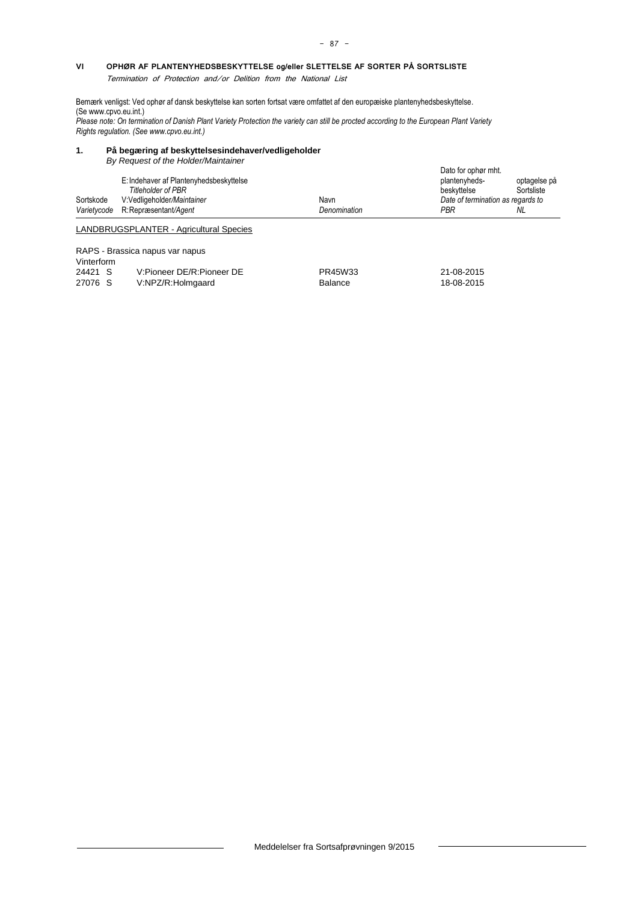#### **VI OPHØR AF PLANTENYHEDSBESKYTTELSE og/eller SLETTELSE AF SORTER PÅ SORTSLISTE**

Termination of Protection and/or Delition from the National List

Bemærk venligst: Ved ophør af dansk beskyttelse kan sorten fortsat være omfattet af den europæiske plantenyhedsbeskyttelse. (S[e www.cpvo.eu.int.\)](http://www.cpvo.eu.int/)

*Please note: On termination of Danish Plant Variety Protection the variety can still be procted according to the European Plant Variety Rights regulation. (See www.cpvo.eu.int.)*

## **1. På begæring af beskyttelsesindehaver/vedligeholder**

*By Request of the Holder/Maintainer*

|           | <u>Dy Request of the Holdenwall itelien</u><br>E: Indehaver af Plantenyhedsbeskyttelse<br><b>Titleholder of PBR</b> |              | Dato for ophør mht.<br>plantenyheds-<br>beskyttelse | optagelse på<br>Sortsliste |
|-----------|---------------------------------------------------------------------------------------------------------------------|--------------|-----------------------------------------------------|----------------------------|
| Sortskode | V:Vedligeholder/Maintainer                                                                                          | Navn         | Date of termination as regards to                   |                            |
|           | Varietycode R: Repræsentant/Agent                                                                                   | Denomination | PBR                                                 | NL                         |
|           | LANDBRUGSPLANTER - Agricultural Species                                                                             |              |                                                     |                            |
|           | RAPS - Brassica napus var napus                                                                                     |              |                                                     |                            |

Vinterform<br>24421 S V:Pioneer DE/R:Pioneer DE **PR45W33** 21-08-2015 27076 S V:NPZ/R:Holmgaard Balance Balance 18-08-2015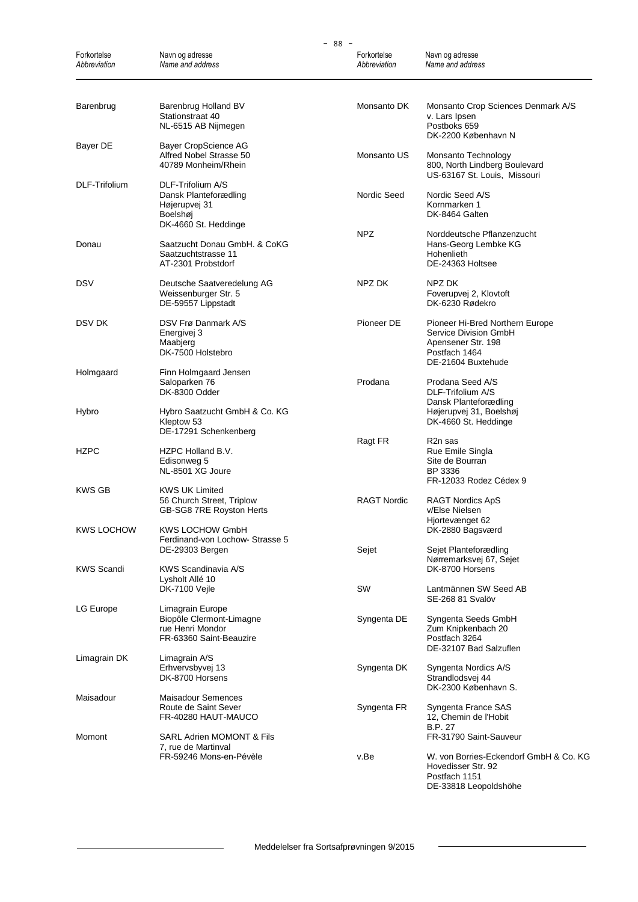|                             | $-88 -$                                                                                         |                             |                                                                                                                       |  |  |  |
|-----------------------------|-------------------------------------------------------------------------------------------------|-----------------------------|-----------------------------------------------------------------------------------------------------------------------|--|--|--|
| Forkortelse<br>Abbreviation | Navn og adresse<br>Name and address                                                             | Forkortelse<br>Abbreviation | Navn og adresse<br>Name and address                                                                                   |  |  |  |
| Barenbrug                   | Barenbrug Holland BV<br>Stationstraat 40<br>NL-6515 AB Nijmegen                                 | Monsanto DK                 | Monsanto Crop Sciences Denmark A/S<br>v. Lars Ipsen<br>Postboks 659<br>DK-2200 København N                            |  |  |  |
| Bayer DE                    | <b>Bayer CropScience AG</b><br>Alfred Nobel Strasse 50<br>40789 Monheim/Rhein                   | Monsanto US                 | Monsanto Technology<br>800, North Lindberg Boulevard<br>US-63167 St. Louis, Missouri                                  |  |  |  |
| DLF-Trifolium               | DLF-Trifolium A/S<br>Dansk Planteforædling<br>Højerupvej 31<br>Boelshøj<br>DK-4660 St. Heddinge | Nordic Seed                 | Nordic Seed A/S<br>Kornmarken 1<br>DK-8464 Galten                                                                     |  |  |  |
| Donau                       | Saatzucht Donau GmbH. & CoKG<br>Saatzuchtstrasse 11<br>AT-2301 Probstdorf                       | <b>NPZ</b>                  | Norddeutsche Pflanzenzucht<br>Hans-Georg Lembke KG<br>Hohenlieth<br>DE-24363 Holtsee                                  |  |  |  |
| <b>DSV</b>                  | Deutsche Saatveredelung AG<br>Weissenburger Str. 5<br>DE-59557 Lippstadt                        | NPZ DK                      | NPZ DK<br>Foverupvej 2, Klovtoft<br>DK-6230 Rødekro                                                                   |  |  |  |
| DSV DK                      | DSV Frø Danmark A/S<br>Energivej 3<br>Maabjerg<br>DK-7500 Holstebro                             | Pioneer DE                  | Pioneer Hi-Bred Northern Europe<br>Service Division GmbH<br>Apensener Str. 198<br>Postfach 1464<br>DE-21604 Buxtehude |  |  |  |
| Holmgaard                   | Finn Holmgaard Jensen<br>Saloparken 76<br>DK-8300 Odder                                         | Prodana                     | Prodana Seed A/S<br>DLF-Trifolium A/S<br>Dansk Planteforædling                                                        |  |  |  |
| Hybro                       | Hybro Saatzucht GmbH & Co. KG<br>Kleptow 53<br>DE-17291 Schenkenberg                            |                             | Højerupvej 31, Boelshøj<br>DK-4660 St. Heddinge                                                                       |  |  |  |
| <b>HZPC</b>                 | HZPC Holland B.V.<br>Edisonweg 5<br>NL-8501 XG Joure                                            | Ragt FR                     | R <sub>2</sub> n sas<br>Rue Emile Singla<br>Site de Bourran<br>BP 3336<br>FR-12033 Rodez Cédex 9                      |  |  |  |
| <b>KWS GB</b>               | KWS UK Limited<br>56 Church Street, Triplow<br>GB-SG8 7RE Royston Herts                         | <b>RAGT Nordic</b>          | RAGT Nordics ApS<br>v/Else Nielsen<br>Hjortevænget 62                                                                 |  |  |  |
| <b>KWS LOCHOW</b>           | KWS LOCHOW GmbH<br>Ferdinand-von Lochow- Strasse 5<br>DE-29303 Bergen                           | Sejet                       | DK-2880 Bagsværd<br>Sejet Planteforædling                                                                             |  |  |  |
| <b>KWS Scandi</b>           | KWS Scandinavia A/S<br>Lysholt Allé 10<br>DK-7100 Vejle                                         | SW                          | Nørremarksvej 67, Sejet<br>DK-8700 Horsens<br>Lantmännen SW Seed AB                                                   |  |  |  |
| LG Europe                   | Limagrain Europe<br>Biopôle Clermont-Limagne                                                    | Syngenta DE                 | SE-268 81 Svalöv<br>Syngenta Seeds GmbH                                                                               |  |  |  |
|                             | rue Henri Mondor<br>FR-63360 Saint-Beauzire                                                     |                             | Zum Knipkenbach 20<br>Postfach 3264<br>DE-32107 Bad Salzuflen                                                         |  |  |  |
| Limagrain DK                | Limagrain A/S<br>Erhvervsbyvej 13<br>DK-8700 Horsens                                            | Syngenta DK                 | Syngenta Nordics A/S<br>Strandlodsvej 44<br>DK-2300 København S.                                                      |  |  |  |
| Maisadour                   | <b>Maisadour Semences</b><br>Route de Saint Sever<br>FR-40280 HAUT-MAUCO                        | Syngenta FR                 | Syngenta France SAS<br>12, Chemin de l'Hobit                                                                          |  |  |  |
| Momont                      | SARL Adrien MOMONT & Fils<br>7, rue de Martinval                                                |                             | B.P. 27<br>FR-31790 Saint-Sauveur                                                                                     |  |  |  |
|                             | FR-59246 Mons-en-Pévèle                                                                         | v.Be                        | W. von Borries-Eckendorf GmbH & Co. KG<br>Hovedisser Str. 92<br>Postfach 1151<br>DE-33818 Leopoldshöhe                |  |  |  |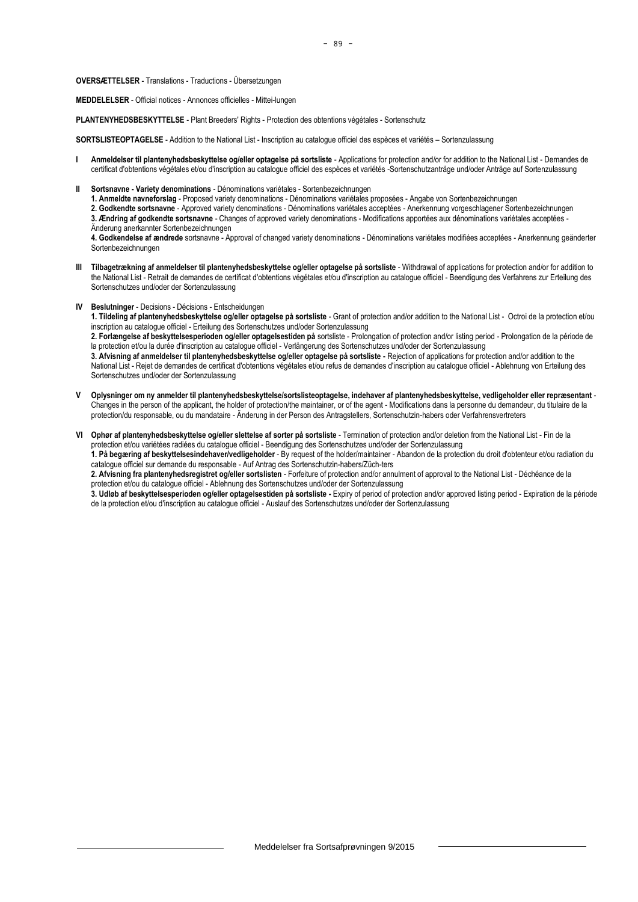**OVERSÆTTELSER** - Translations - Traductions - Übersetzungen

**MEDDELELSER** - Official notices - Annonces officielles - Mittei-lungen

**PLANTENYHEDSBESKYTTELSE** - Plant Breeders' Rights - Protection des obtentions végétales - Sortenschutz

**SORTSLISTEOPTAGELSE** - Addition to the National List - Inscription au catalogue officiel des espèces et variétés – Sortenzulassung

- **I Anmeldelser til plantenyhedsbeskyttelse og/eller optagelse på sortsliste** Applications for protection and/or for addition to the National List Demandes de certificat d'obtentions végétales et/ou d'inscription au catalogue officiel des espèces et variétés -Sortenschutzanträge und/oder Anträge auf Sortenzulassung
- **II Sortsnavne - Variety denominations** Dénominations variétales Sortenbezeichnungen
	- **1. Anmeldte navneforslag** Proposed variety denominations Dénominations variétales proposées Angabe von Sortenbezeichnungen
	- **2. Godkendte sortsnavne** Approved variety denominations Dénominations variétales acceptées Anerkennung vorgeschlagener Sortenbezeichnungen **3. Ændring af godkendte sortsnavne** - Changes of approved variety denominations - Modifications apportées aux dénominations variétales acceptées -
	- Änderung anerkannter Sortenbezeichnungen

**4. Godkendelse af ændrede** sortsnavne - Approval of changed variety denominations - Dénominations variétales modifiées acceptées - Anerkennung geänderter Sortenbezeichnungen

- **III Tilbagetrækning af anmeldelser til plantenyhedsbeskyttelse og/eller optagelse på sortsliste** Withdrawal of applications for protection and/or for addition to the National List - Retrait de demandes de certificat d'obtentions végétales et/ou d'inscription au catalogue officiel - Beendigung des Verfahrens zur Erteilung des Sortenschutzes und/oder der Sortenzulassung
- **IV Beslutninger** Decisions Décisions Entscheidungen

**1. Tildeling af plantenyhedsbeskyttelse og/eller optagelse på sortsliste** - Grant of protection and/or addition to the National List - Octroi de la protection et/ou inscription au catalogue officiel - Erteilung des Sortenschutzes und/oder Sortenzulassung

**2. Forlængelse af beskyttelsesperioden og/eller optagelsestiden på** sortsliste - Prolongation of protection and/or listing period - Prolongation de la période de la protection et/ou la durée d'inscription au catalogue officiel - Verlängerung des Sortenschutzes und/oder der Sortenzulassung

**3. Afvisning af anmeldelser til plantenyhedsbeskyttelse og/eller optagelse på sortsliste -** Rejection of applications for protection and/or addition to the National List - Rejet de demandes de certificat d'obtentions végétales et/ou refus de demandes d'inscription au catalogue officiel - Ablehnung von Erteilung des Sortenschutzes und/oder der Sortenzulassung

- **V Oplysninger om ny anmelder til plantenyhedsbeskyttelse/sortslisteoptagelse, indehaver af plantenyhedsbeskyttelse, vedligeholder eller repræsentant** Changes in the person of the applicant, the holder of protection/the maintainer, or of the agent - Modifications dans la personne du demandeur, du titulaire de la protection/du responsable, ou du mandataire - Änderung in der Person des Antragstellers, Sortenschutzin-habers oder Verfahrensvertreters
- **VI Ophør af plantenyhedsbeskyttelse og/eller slettelse af sorter på sortsliste** Termination of protection and/or deletion from the National List Fin de la protection et/ou variétées radiées du catalogue officiel - Beendigung des Sortenschutzes und/oder der Sortenzulassung

**1. På begæring af beskyttelsesindehaver/vedligeholder** - By request of the holder/maintainer - Abandon de la protection du droit d'obtenteur et/ou radiation du catalogue officiel sur demande du responsable - Auf Antrag des Sortenschutzin-habers/Züch-ters

**2. Afvisning fra plantenyhedsregistret og/eller sortslisten** - Forfeiture of protection and/or annulment of approval to the National List - Déchéance de la protection et/ou du catalogue officiel - Ablehnung des Sortenschutzes und/oder der Sortenzulassung

**3. Udløb af beskyttelsesperioden og/eller optagelsestiden på sortsliste -** Expiry of period of protection and/or approved listing period - Expiration de la période de la protection et/ou d'inscription au catalogue officiel - Auslauf des Sortenschutzes und/oder der Sortenzulassung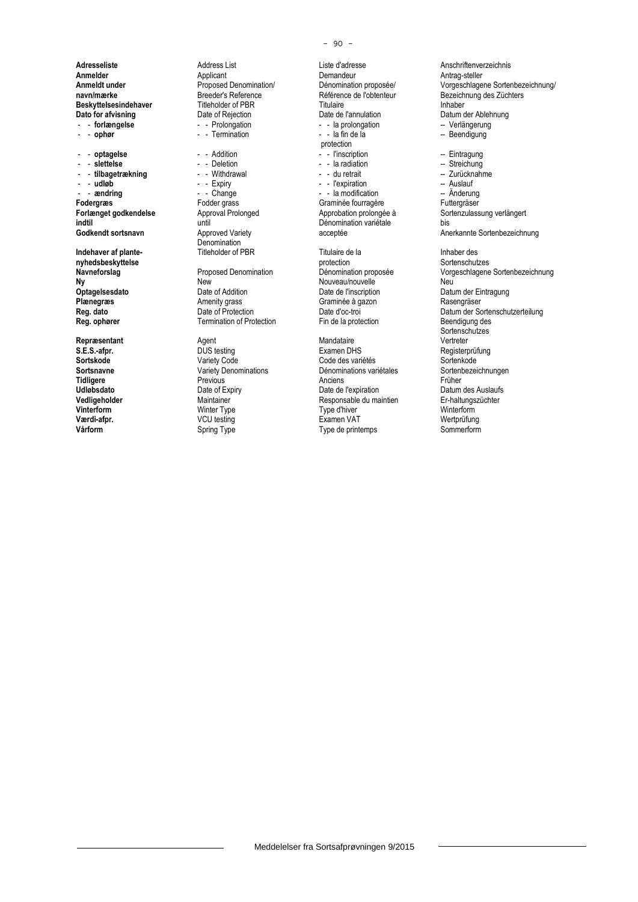- andring - - Change - - la modification -- **andring**<br>
Fodergras -- Fodder grass -- Graminée fourragère **indtil variétie d'Alexandrie de la vivale de la vivale de la vivale de la vivale de la vivale de la vivale de <br>
<b>Societé** de la vivale de la vivale de la vivale de la vivale de la vivale de la vivale de la vivale de la vi

**Adresseliste** Address List Liste d'adresse **Anschriftenverzeichnis**<br> **Annelder** Anschriftenverzeichnis Applicant **Anschriftenverzeichnis**<br>
Demandeur Antrag-steller **Anmelder** Applicant Applicant Demandeur **Demandeur Antrag-steller**<br> **Anmeldt under Antrag-steller** Proposed Denomination/ Dénomination proposée/ Vorgeschlage **Beskyttelsesindehaver** Titleholder of PBR<br>
Dato for afvisning<br>
Date of Rejection<br>
Date de l'annulation **Dato for afvisning** Date of Rejection Date de l'annulation Datum der Ablehnung<br> **Dato for afvisning** Datum Date of Rejection Date de l'annulation Datum Datum der Ablehnung<br>
Dato for Datum Datum Date of Rejection Date de l

Denomination<br>Titleholder of PBR

**Ny New** New New Nouveau/nouvelle Neu Neu<br> **Optagelsesdato** Date of Addition Date of Neu Date de l'inscription Datu **Optagelsesdato** Date of Addition Date de l'inscription Datum der Eintragung<br> **Plænegræs** Plate de Date of Addition Date de l'inscription Datum der Eintragung<br>
Date de Date de Date de Rasengräser **Plænegræs Amenity grass Graminée à gazon Regional de La Craminée à gazon Regional de La Craminée à gazon Regional Date d'oc-troi Termination of Protection** 

**Repræsentant Agent** Agent **Agent Agent Agent CONS Examen** DH

- - la prolongation<br>- - la fin de la - - **ophør** - - Termination - - la fin de la -- Beendigung protection<br>- - l'inscription - - **optagelse** - - Addition - - l'inscription -- Eintragung - - **slettelse** - - Deletion - - la radiation -- Streichung - - **tilbagetrækning** - - Withdrawal - - du retrait -- Zurücknahme - **udløb** - - Expiry - - Expiration - Nuslauf - Auslauf - Auslauf - Auslauf - Expiration - Auslauf - Auslauf - Auslauf - Anderung - Anderung - Anderung - Anderung - Anderung - Anderung - Anderung - Anderung - Anderung - An Fodder grass **Following Craminée fourragère** Futtergräser<br>
Approval Prolonged **Future Approbation** prolongée à Sortenzulass **Indehaver af plante-** Titleholder of PBR<br> **Inhaber design and Explore Constructs**<br> **Inhaber design and Index Constructs**<br> **Inhaber design and Index Constructs**<br> **Inhaber design and Index Constructs** 

**nyhedsbeskyttelse** protection Sortenschutzes

**S.E.S.-afpr.** DUS testing Examen DHS Registerprüfung Sortskode **Sortskode Mariety Code Conception Code des** variétés Sortenkode Sortenkode Code des variétés Sortenbezeichnungen<br>Cortsnavne Sortenbezeichnungen Variety Denominations Dénominations variétales Sortenbezeichnungen **Sortsnavne Variety Denominations** Dénominations variétales Sorten<br> **Tidligere** Previous Previous Anciens *Cortenbe* **Tidligere** Previous Previous Anciens Anciens Anciens Früher **Udløbsdato Date of Expiry** Date of Expiry Date de l'expiration **Datum des Auslaufs**<br> **Vedligeholder Datum des Auslaufs Date de Late de Late de Late de Late de Late de Late de Late de Late de Late de**<br> **Parament Date d Vedligeholder** Maintainer Maintainer Responsable du maintien Er-haltungszüchter Maintainer Er-haltungszüchter<br>**1999** Winterform Winter Type Type Type d'hiver Mainterform Winterform **Vinterform** Winter Type Type d'hiver Winterform **Værdi-afpr.** VCU testing Examen VAT Wertprüfung **Vårform** Spring Type Type Sommerform Spring Type Sommerform Spring Type Sommerform

**Proposed Denomination/** Dénomination proposée/ Vorgeschlagene Sortenbezeichnung/<br> **Breeder's Reference** Contention **Proposet Contention** Bezeichnung des Züchters **navn/mærke Breeder's Reference** Référence **Référence de l'obtenteur** Bezeichnung des Züchters<br> **Beskyttelsesindehaver** Titleholder of PBR Titulaire **Beskyttelsesindehaver** Annual Execution **Forlænget godkendelse** Approval Prolonged Approbation prolongée à Sortenzulassung verlängert<br> **Approbation prolongée** a Sortenzulassung verlängert<br>
Dénomination variétale bis Anerkannte Sortenbezeichnung **Navneforslag** Proposed Denomination Dénomination proposée Vorgeschlagene Sortenbezeichnung **Reg. dato** Date of Protection Date d'oc-troi Date d'oc-troi Datum der Sortenschutzerteilung<br> **Reg. ophører** Communistion of Protection Discover Ein de la protection Beendigung des Sortenschutzes<br>Vertreter